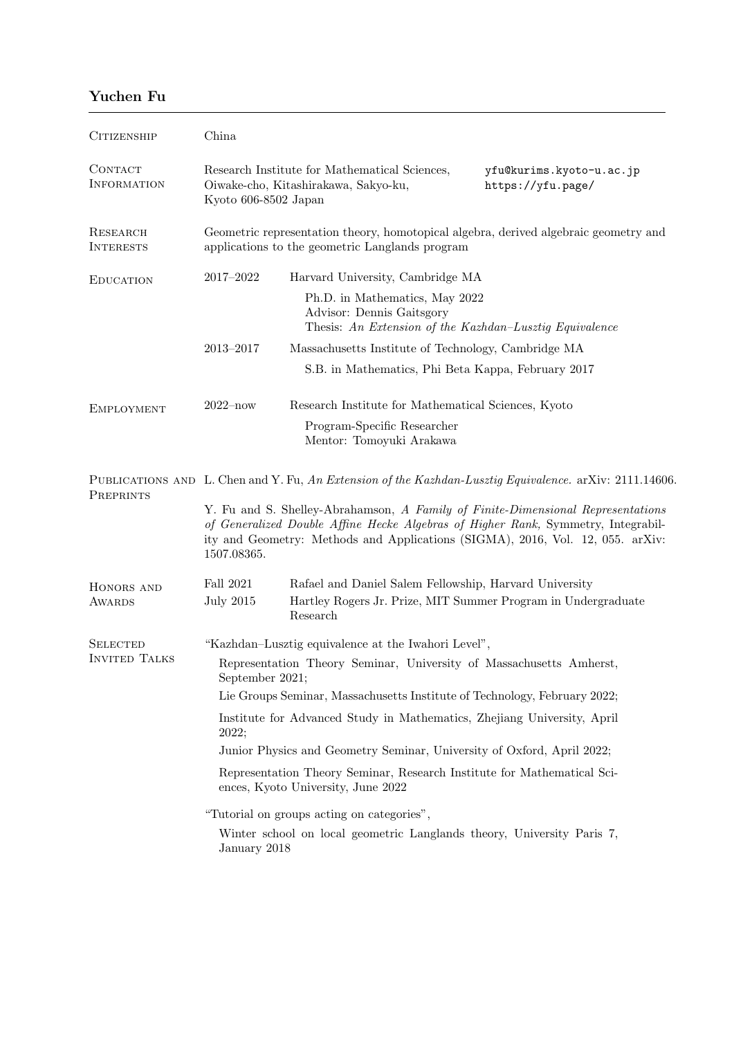## Yuchen Fu

| <b>CITIZENSHIP</b>                      | China                                                                                                                                                                                                                                                                 |                                                                                                                        |  |  |
|-----------------------------------------|-----------------------------------------------------------------------------------------------------------------------------------------------------------------------------------------------------------------------------------------------------------------------|------------------------------------------------------------------------------------------------------------------------|--|--|
| CONTACT<br><b>INFORMATION</b>           | Research Institute for Mathematical Sciences,<br>yfu@kurims.kyoto-u.ac.jp<br>Oiwake-cho, Kitashirakawa, Sakyo-ku,<br>https://yfu.page/<br>Kyoto 606-8502 Japan                                                                                                        |                                                                                                                        |  |  |
| RESEARCH<br><b>INTERESTS</b>            | Geometric representation theory, homotopical algebra, derived algebraic geometry and<br>applications to the geometric Langlands program                                                                                                                               |                                                                                                                        |  |  |
| <b>EDUCATION</b>                        | 2017-2022                                                                                                                                                                                                                                                             | Harvard University, Cambridge MA                                                                                       |  |  |
|                                         |                                                                                                                                                                                                                                                                       | Ph.D. in Mathematics, May 2022<br>Advisor: Dennis Gaitsgory<br>Thesis: An Extension of the Kazhdan-Lusztig Equivalence |  |  |
|                                         | $2013 - 2017$                                                                                                                                                                                                                                                         | Massachusetts Institute of Technology, Cambridge MA                                                                    |  |  |
|                                         | S.B. in Mathematics, Phi Beta Kappa, February 2017                                                                                                                                                                                                                    |                                                                                                                        |  |  |
| <b>EMPLOYMENT</b>                       | $2022 - now$<br>Research Institute for Mathematical Sciences, Kyoto                                                                                                                                                                                                   |                                                                                                                        |  |  |
|                                         |                                                                                                                                                                                                                                                                       | Program-Specific Researcher<br>Mentor: Tomoyuki Arakawa                                                                |  |  |
| PREPRINTS                               | PUBLICATIONS AND L. Chen and Y. Fu, An Extension of the Kazhdan-Lusztig Equivalence. arXiv: 2111.14606.                                                                                                                                                               |                                                                                                                        |  |  |
|                                         | Y. Fu and S. Shelley-Abrahamson, A Family of Finite-Dimensional Representations<br>of Generalized Double Affine Hecke Algebras of Higher Rank, Symmetry, Integrabil-<br>ity and Geometry: Methods and Applications (SIGMA), 2016, Vol. 12, 055. arXiv:<br>1507.08365. |                                                                                                                        |  |  |
| HONORS AND                              | Fall 2021                                                                                                                                                                                                                                                             | Rafael and Daniel Salem Fellowship, Harvard University                                                                 |  |  |
| <b>AWARDS</b>                           | <b>July 2015</b>                                                                                                                                                                                                                                                      | Hartley Rogers Jr. Prize, MIT Summer Program in Undergraduate<br>Research                                              |  |  |
| <b>SELECTED</b><br><b>INVITED TALKS</b> | "Kazhdan-Lusztig equivalence at the Iwahori Level",                                                                                                                                                                                                                   |                                                                                                                        |  |  |
|                                         | Representation Theory Seminar, University of Massachusetts Amherst,<br>September 2021;                                                                                                                                                                                |                                                                                                                        |  |  |
|                                         | Lie Groups Seminar, Massachusetts Institute of Technology, February 2022;                                                                                                                                                                                             |                                                                                                                        |  |  |
|                                         | Institute for Advanced Study in Mathematics, Zhejiang University, April<br>2022;                                                                                                                                                                                      |                                                                                                                        |  |  |
|                                         | Junior Physics and Geometry Seminar, University of Oxford, April 2022;                                                                                                                                                                                                |                                                                                                                        |  |  |
|                                         | Representation Theory Seminar, Research Institute for Mathematical Sci-<br>ences, Kyoto University, June 2022                                                                                                                                                         |                                                                                                                        |  |  |
|                                         | "Tutorial on groups acting on categories",                                                                                                                                                                                                                            |                                                                                                                        |  |  |
|                                         | Winter school on local geometric Langlands theory, University Paris 7,<br>January 2018                                                                                                                                                                                |                                                                                                                        |  |  |